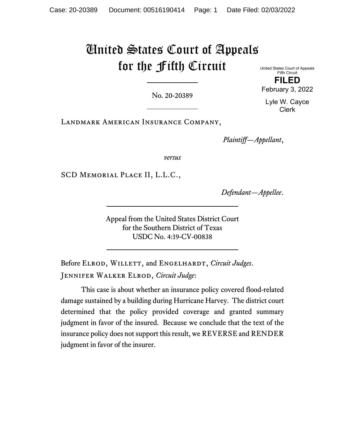# United States Court of Appeals for the Fifth Circuit

No. 20-20389

United States Court of Appeals Fifth Circuit **FILED**  February 3, 2022

Lyle W. Cayce Clerk

Landmark American Insurance Company,

*Plaintiff—Appellant*,

*versus*

SCD Memorial Place II, L.L.C.,

*Defendant—Appellee*.

Appeal from the United States District Court for the Southern District of Texas USDC No. 4:19-CV-00838

Before ELROD, WILLETT, and ENGELHARDT, *Circuit Judges*. Jennifer Walker Elrod, *Circuit Judge*:

This case is about whether an insurance policy covered flood-related damage sustained by a building during Hurricane Harvey. The district court determined that the policy provided coverage and granted summary judgment in favor of the insured. Because we conclude that the text of the insurance policy does not support this result, we REVERSE and RENDER judgment in favor of the insurer.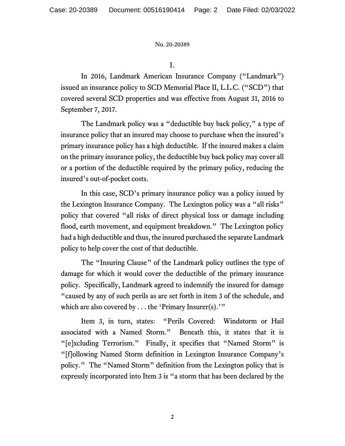I.

In 2016, Landmark American Insurance Company ("Landmark") issued an insurance policy to SCD Memorial Place II, L.L.C. ("SCD") that covered several SCD properties and was effective from August 31, 2016 to September 7, 2017.

The Landmark policy was a "deductible buy back policy," a type of insurance policy that an insured may choose to purchase when the insured's primary insurance policy has a high deductible.If the insured makes a claim on the primary insurance policy, the deductible buy back policy may cover all or a portion of the deductible required by the primary policy, reducing the insured's out-of-pocket costs.

In this case, SCD's primary insurance policy was a policy issued by the Lexington Insurance Company.The Lexington policy was a "all risks" policy that covered "all risks of direct physical loss or damage including flood, earth movement, and equipment breakdown." The Lexington policy had a high deductible and thus, the insured purchased the separate Landmark policy to help cover the cost of that deductible.

The "Insuring Clause" of the Landmark policy outlines the type of damage for which it would cover the deductible of the primary insurance policy.Specifically, Landmark agreed to indemnify the insured for damage "caused by any of such perils as are set forth in item 3 of the schedule, and which are also covered by  $\dots$  the 'Primary Insurer(s).'"

Item 3, in turn, states: "Perils Covered: Windstorm or Hail associated with a Named Storm." Beneath this, it states that it is "[e]xcluding Terrorism." Finally, it specifies that "Named Storm" is "[f]ollowing Named Storm definition in Lexington Insurance Company's policy." The "Named Storm" definition from the Lexington policy that is expressly incorporated into Item 3 is "a storm that has been declared by the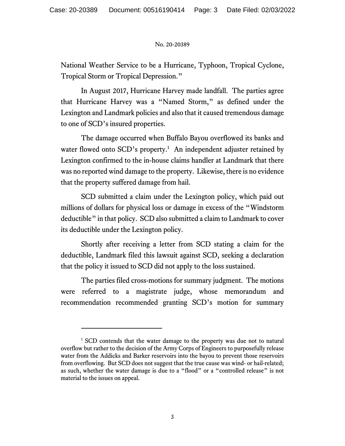National Weather Service to be a Hurricane, Typhoon, Tropical Cyclone, Tropical Storm or Tropical Depression."

In August 2017, Hurricane Harvey made landfall. The parties agree that Hurricane Harvey was a "Named Storm," as defined under the Lexington and Landmark policies and also that it caused tremendous damage to one of SCD's insured properties.

The damage occurred when Buffalo Bayou overflowed its banks and water flowed onto SCD's property.<sup>1</sup> An independent adjuster retained by Lexington confirmed to the in-house claims handler at Landmark that there was no reported wind damage to the property. Likewise, there is no evidence that the property suffered damage from hail.

SCD submitted a claim under the Lexington policy, which paid out millions of dollars for physical loss or damage in excess of the "Windstorm deductible" in that policy. SCD also submitted a claim to Landmark to cover its deductible under the Lexington policy.

Shortly after receiving a letter from SCD stating a claim for the deductible, Landmark filed this lawsuit against SCD, seeking a declaration that the policy it issued to SCD did not apply to the loss sustained.

The parties filed cross-motions for summary judgment. The motions were referred to a magistrate judge, whose memorandum and recommendation recommended granting SCD's motion for summary

<sup>&</sup>lt;sup>1</sup> SCD contends that the water damage to the property was due not to natural overflow but rather to the decision of the Army Corps of Engineers to purposefully release water from the Addicks and Barker reservoirs into the bayou to prevent those reservoirs from overflowing. But SCD does not suggest that the true cause was wind- or hail-related; as such, whether the water damage is due to a "flood" or a "controlled release" is not material to the issues on appeal.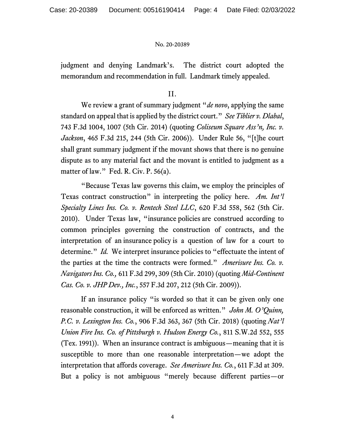judgment and denying Landmark's. The district court adopted the memorandum and recommendation in full. Landmark timely appealed.

II.

We review a grant of summary judgment "*de novo*, applying the same standard on appeal that is applied by the district court." *See Tiblier v. Dlabal*, 743 F.3d 1004, 1007 (5th Cir. 2014) (quoting *Coliseum Square Ass'n, Inc. v. Jackson*, 465 F.3d 215, 244 (5th Cir. 2006)). Under Rule 56, "[t]he court shall grant summary judgment if the movant shows that there is no genuine dispute as to any material fact and the movant is entitled to judgment as a matter of law." Fed. R. Civ. P. 56(a).

"Because Texas law governs this claim, we employ the principles of Texas contract construction" in interpreting the policy here. *Am. Int'l Specialty Lines Ins. Co. v. Rentech Steel LLC*, 620 F.3d 558, 562 (5th Cir. 2010). Under Texas law, "insurance policies are construed according to common principles governing the construction of contracts, and the interpretation of an insurance policy is a question of law for a court to determine." *Id.* We interpret insurance policies to "effectuate the intent of the parties at the time the contracts were formed." *Amerisure Ins. Co. v. Navigators Ins. Co.,* 611 F.3d 299, 309 (5th Cir. 2010) (quoting *Mid-Continent Cas. Co. v. JHP Dev., Inc.*, 557 F.3d 207, 212 (5th Cir. 2009)).

If an insurance policy "is worded so that it can be given only one reasonable construction, it will be enforced as written." *John M. O'Quinn, P.C. v. Lexington Ins. Co.*, 906 F.3d 363, 367 (5th Cir. 2018) (quoting *Nat'l Union Fire Ins. Co. of Pittsburgh v. Hudson Energy Co.*, 811 S.W.2d 552, 555 (Tex. 1991)). When an insurance contract is ambiguous—meaning that it is susceptible to more than one reasonable interpretation—we adopt the interpretation that affords coverage. *See Amerisure Ins. Co.*, 611 F.3d at 309. But a policy is not ambiguous "merely because different parties—or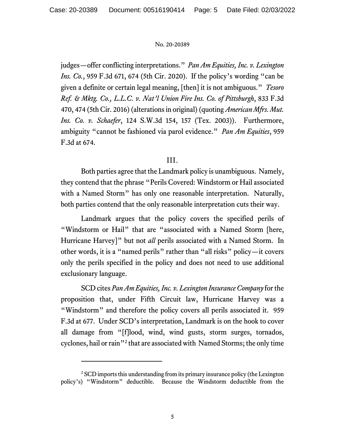judges—offer conflicting interpretations." *Pan Am Equities, Inc. v. Lexington Ins. Co.*, 959 F.3d 671, 674 (5th Cir. 2020). If the policy's wording "can be given a definite or certain legal meaning, [then] it is not ambiguous." *Tesoro Ref. & Mktg. Co., L.L.C. v. Nat'l Union Fire Ins. Co. of Pittsburgh*, 833 F.3d 470, 474 (5th Cir. 2016) (alterations in original) (quoting *American Mfrs. Mut. Ins. Co. v. Schaefer*, 124 S.W.3d 154, 157 (Tex. 2003)). Furthermore, ambiguity "cannot be fashioned via parol evidence." *Pan Am Equities*, 959 F.3d at 674.

# III.

Both parties agree that the Landmark policy is unambiguous. Namely, they contend that the phrase "Perils Covered: Windstorm or Hail associated with a Named Storm" has only one reasonable interpretation. Naturally, both parties contend that the only reasonable interpretation cuts their way.

Landmark argues that the policy covers the specified perils of "Windstorm or Hail" that are "associated with a Named Storm [here, Hurricane Harvey]" but not *all* perils associated with a Named Storm. In other words, it is a "named perils" rather than "all risks" policy—it covers only the perils specified in the policy and does not need to use additional exclusionary language.

SCD cites *Pan Am Equities, Inc. v. Lexington Insurance Company* for the proposition that, under Fifth Circuit law, Hurricane Harvey was a "Windstorm" and therefore the policy covers all perils associated it. 959 F.3d at 677. Under SCD's interpretation, Landmark is on the hook to cover all damage from "[f]lood, wind, wind gusts, storm surges, tornados, cyclones, hail or rain"<sup>2</sup> that are associated with Named Storms; the only time

<sup>&</sup>lt;sup>2</sup> SCD imports this understanding from its primary insurance policy (the Lexington policy's) "Windstorm" deductible. Because the Windstorm deductible from the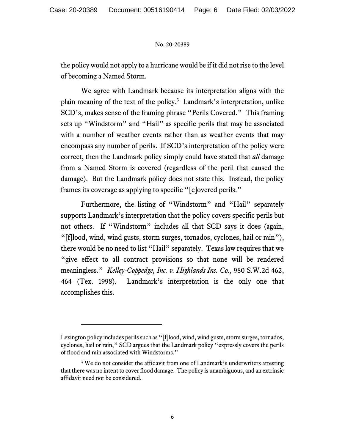the policy would not apply to a hurricane would be if it did not rise to the level of becoming a Named Storm.

We agree with Landmark because its interpretation aligns with the plain meaning of the text of the policy.<sup>3</sup> Landmark's interpretation, unlike SCD's, makes sense of the framing phrase "Perils Covered." This framing sets up "Windstorm" and "Hail" as specific perils that may be associated with a number of weather events rather than as weather events that may encompass any number of perils. If SCD's interpretation of the policy were correct, then the Landmark policy simply could have stated that *all* damage from a Named Storm is covered (regardless of the peril that caused the damage). But the Landmark policy does not state this. Instead, the policy frames its coverage as applying to specific "[c]overed perils."

Furthermore, the listing of "Windstorm" and "Hail" separately supports Landmark's interpretation that the policy covers specific perils but not others. If "Windstorm" includes all that SCD says it does (again, "[f]lood, wind, wind gusts, storm surges, tornados, cyclones, hail or rain"), there would be no need to list "Hail" separately. Texas law requires that we "give effect to all contract provisions so that none will be rendered meaningless." *Kelley-Coppedge, Inc. v. Highlands Ins. Co.*, 980 S.W.2d 462, 464 (Tex. 1998). Landmark's interpretation is the only one that accomplishes this.

Lexington policy includes perils such as "[f]lood, wind, wind gusts, storm surges, tornados, cyclones, hail or rain," SCD argues that the Landmark policy "expressly covers the perils of flood and rain associated with Windstorms."

<sup>&</sup>lt;sup>3</sup> We do not consider the affidavit from one of Landmark's underwriters attesting that there was no intent to cover flood damage. The policy is unambiguous, and an extrinsic affidavit need not be considered.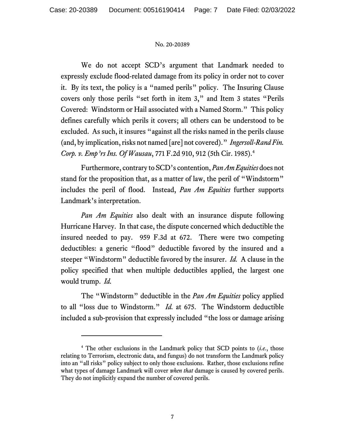We do not accept SCD's argument that Landmark needed to expressly exclude flood-related damage from its policy in order not to cover it. By its text, the policy is a "named perils" policy. The Insuring Clause covers only those perils "set forth in item 3," and Item 3 states "Perils Covered: Windstorm or Hail associated with a Named Storm." This policy defines carefully which perils it covers; all others can be understood to be excluded. As such, it insures "against all the risks named in the perils clause (and, by implication, risks not named [are] not covered)." *Ingersoll-Rand Fin. Corp. v. Emp'rs Ins. Of Wausau*, 771 F.2d 910, 912 (5th Cir. 1985).4

Furthermore, contrary to SCD's contention, *Pan Am Equities* does not stand for the proposition that, as a matter of law, the peril of "Windstorm" includes the peril of flood. Instead, *Pan Am Equities* further supports Landmark's interpretation.

*Pan Am Equities* also dealt with an insurance dispute following Hurricane Harvey. In that case, the dispute concerned which deductible the insured needed to pay. 959 F.3d at 672. There were two competing deductibles: a generic "flood" deductible favored by the insured and a steeper "Windstorm" deductible favored by the insurer. *Id.* A clause in the policy specified that when multiple deductibles applied, the largest one would trump. *Id.* 

The "Windstorm" deductible in the *Pan Am Equities* policy applied to all "loss due to Windstorm." *Id.* at 675. The Windstorm deductible included a sub-provision that expressly included "the loss or damage arising

<sup>&</sup>lt;sup>4</sup> The other exclusions in the Landmark policy that SCD points to (*i.e.*, those relating to Terrorism, electronic data, and fungus) do not transform the Landmark policy into an "all risks" policy subject to only those exclusions. Rather, those exclusions refine what types of damage Landmark will cover *when that* damage is caused by covered perils. They do not implicitly expand the number of covered perils.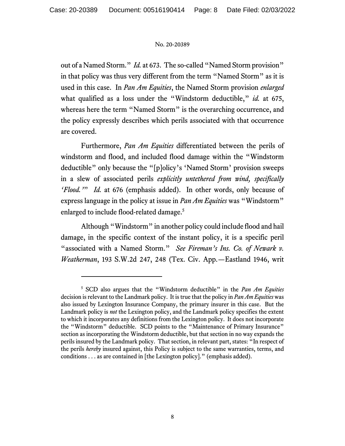out of a Named Storm." *Id.* at 673. The so-called "Named Storm provision" in that policy was thus very different from the term "Named Storm" as it is used in this case. In *Pan Am Equities*, the Named Storm provision *enlarged*  what qualified as a loss under the "Windstorm deductible," *id.* at 675, whereas here the term "Named Storm" is the overarching occurrence, and the policy expressly describes which perils associated with that occurrence are covered.

Furthermore, *Pan Am Equities* differentiated between the perils of windstorm and flood, and included flood damage within the "Windstorm deductible" only because the "[p]olicy's 'Named Storm' provision sweeps in a slew of associated perils *explicitly untethered from wind, specifically 'Flood.'*" *Id.* at 676 (emphasis added). In other words, only because of express language in the policy at issue in *Pan Am Equities* was "Windstorm" enlarged to include flood-related damage.<sup>5</sup>

Although "Windstorm" in another policy could include flood and hail damage, in the specific context of the instant policy, it is a specific peril "associated with a Named Storm." *See Fireman's Ins. Co. of Newark v. Weatherman*, 193 S.W.2d 247, 248 (Tex. Civ. App.—Eastland 1946, writ

<sup>5</sup> SCD also argues that the "Windstorm deductible" in the *Pan Am Equities*  decision is relevant to the Landmark policy. It is true that the policy in *Pan Am Equities* was also issued by Lexington Insurance Company, the primary insurer in this case. But the Landmark policy is *not* the Lexington policy, and the Landmark policy specifies the extent to which it incorporates any definitions from the Lexington policy. It does not incorporate the "Windstorm" deductible. SCD points to the "Maintenance of Primary Insurance" section as incorporating the Windstorm deductible, but that section in no way expands the perils insured by the Landmark policy. That section, in relevant part, states: "In respect of the perils *hereby* insured against, this Policy is subject to the same warranties, terms, and conditions . . . as are contained in [the Lexington policy]." (emphasis added).